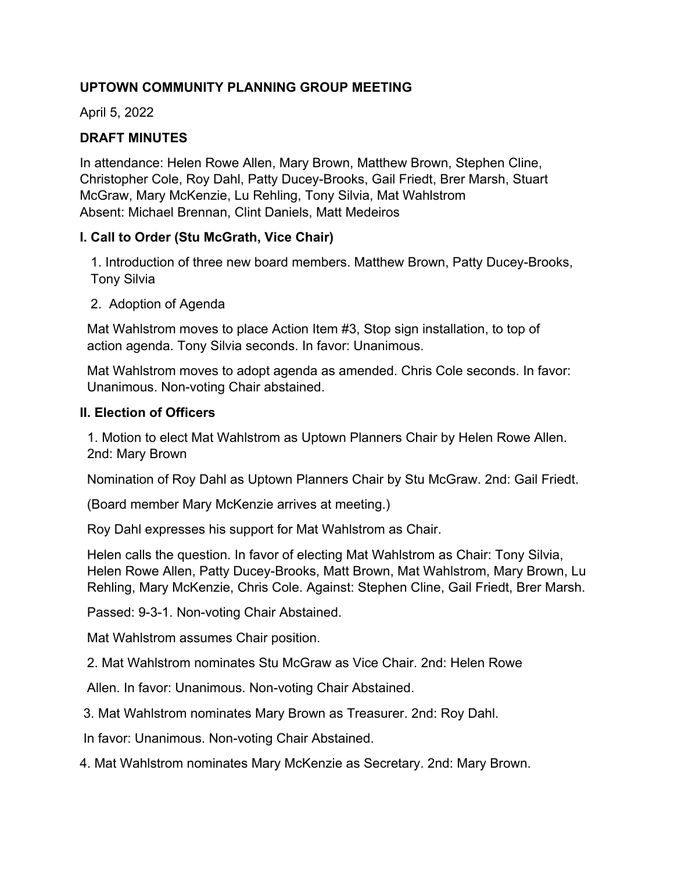### **UPTOWN COMMUNITY PLANNING GROUP MEETING**

April 5, 2022

# **DRAFT MINUTES**

In attendance: Helen Rowe Allen, Mary Brown, Matthew Brown, Stephen Cline, Christopher Cole, Roy Dahl, Patty Ducey-Brooks, Gail Friedt, Brer Marsh, Stuart McGraw, Mary McKenzie, Lu Rehling, Tony Silvia, Mat Wahlstrom Absent: Michael Brennan, Clint Daniels, Matt Medeiros

### **I. Call to Order (Stu McGrath, Vice Chair)**

 1. Introduction of three new board members. Matthew Brown, Patty Ducey-Brooks, Tony Silvia

2. Adoption of Agenda

 Mat Wahlstrom moves to place Action Item #3, Stop sign installation, to top of action agenda. Tony Silvia seconds. In favor: Unanimous.

 Mat Wahlstrom moves to adopt agenda as amended. Chris Cole seconds. In favor: Unanimous. Non-voting Chair abstained.

#### **II. Election of Officers**

1. Motion to elect Mat Wahlstrom as Uptown Planners Chair by Helen Rowe Allen. 2nd: Mary Brown

Nomination of Roy Dahl as Uptown Planners Chair by Stu McGraw. 2nd: Gail Friedt.

(Board member Mary McKenzie arrives at meeting.)

Roy Dahl expresses his support for Mat Wahlstrom as Chair.

 Helen calls the question. In favor of electing Mat Wahlstrom as Chair: Tony Silvia, Helen Rowe Allen, Patty Ducey-Brooks, Matt Brown, Mat Wahlstrom, Mary Brown, Lu Rehling, Mary McKenzie, Chris Cole. Against: Stephen Cline, Gail Friedt, Brer Marsh.

Passed: 9-3-1. Non-voting Chair Abstained.

Mat Wahlstrom assumes Chair position.

2. Mat Wahlstrom nominates Stu McGraw as Vice Chair. 2nd: Helen Rowe

Allen. In favor: Unanimous. Non-voting Chair Abstained.

3. Mat Wahlstrom nominates Mary Brown as Treasurer. 2nd: Roy Dahl.

In favor: Unanimous. Non-voting Chair Abstained.

4. Mat Wahlstrom nominates Mary McKenzie as Secretary. 2nd: Mary Brown.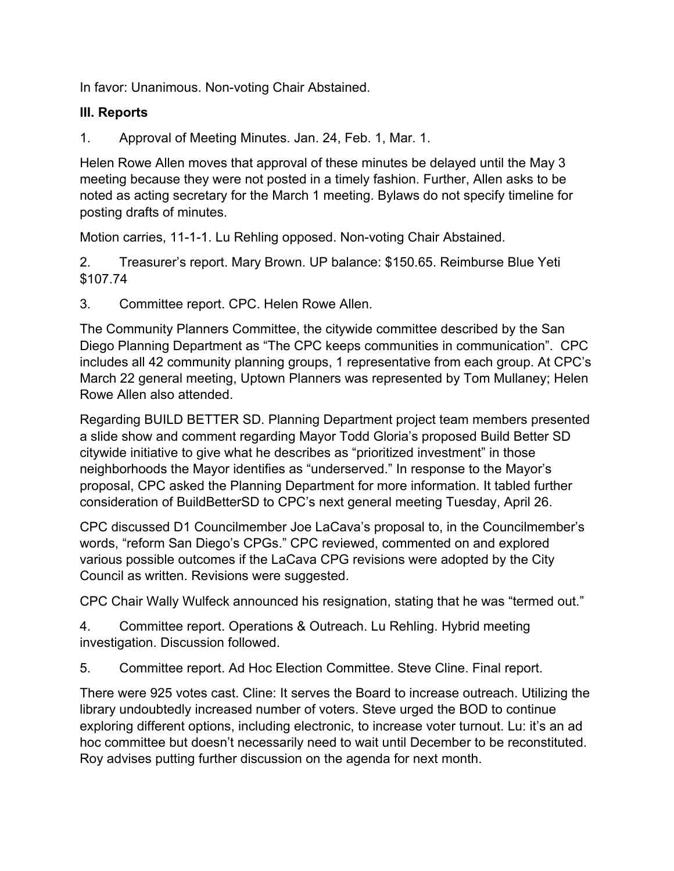In favor: Unanimous. Non-voting Chair Abstained.

### **III. Reports**

1. Approval of Meeting Minutes. Jan. 24, Feb. 1, Mar. 1.

Helen Rowe Allen moves that approval of these minutes be delayed until the May 3 meeting because they were not posted in a timely fashion. Further, Allen asks to be noted as acting secretary for the March 1 meeting. Bylaws do not specify timeline for posting drafts of minutes.

Motion carries, 11-1-1. Lu Rehling opposed. Non-voting Chair Abstained.

2. Treasurer's report. Mary Brown. UP balance: \$150.65. Reimburse Blue Yeti \$107.74

3. Committee report. CPC. Helen Rowe Allen.

The Community Planners Committee, the citywide committee described by the San Diego Planning Department as "The CPC keeps communities in communication". CPC includes all 42 community planning groups, 1 representative from each group. At CPC's March 22 general meeting, Uptown Planners was represented by Tom Mullaney; Helen Rowe Allen also attended.

Regarding BUILD BETTER SD. Planning Department project team members presented a slide show and comment regarding Mayor Todd Gloria's proposed Build Better SD citywide initiative to give what he describes as "prioritized investment" in those neighborhoods the Mayor identifies as "underserved." In response to the Mayor's proposal, CPC asked the Planning Department for more information. It tabled further consideration of BuildBetterSD to CPC's next general meeting Tuesday, April 26.

CPC discussed D1 Councilmember Joe LaCava's proposal to, in the Councilmember's words, "reform San Diego's CPGs." CPC reviewed, commented on and explored various possible outcomes if the LaCava CPG revisions were adopted by the City Council as written. Revisions were suggested.

CPC Chair Wally Wulfeck announced his resignation, stating that he was "termed out."

4. Committee report. Operations & Outreach. Lu Rehling. Hybrid meeting investigation. Discussion followed.

5. Committee report. Ad Hoc Election Committee. Steve Cline. Final report.

There were 925 votes cast. Cline: It serves the Board to increase outreach. Utilizing the library undoubtedly increased number of voters. Steve urged the BOD to continue exploring different options, including electronic, to increase voter turnout. Lu: it's an ad hoc committee but doesn't necessarily need to wait until December to be reconstituted. Roy advises putting further discussion on the agenda for next month.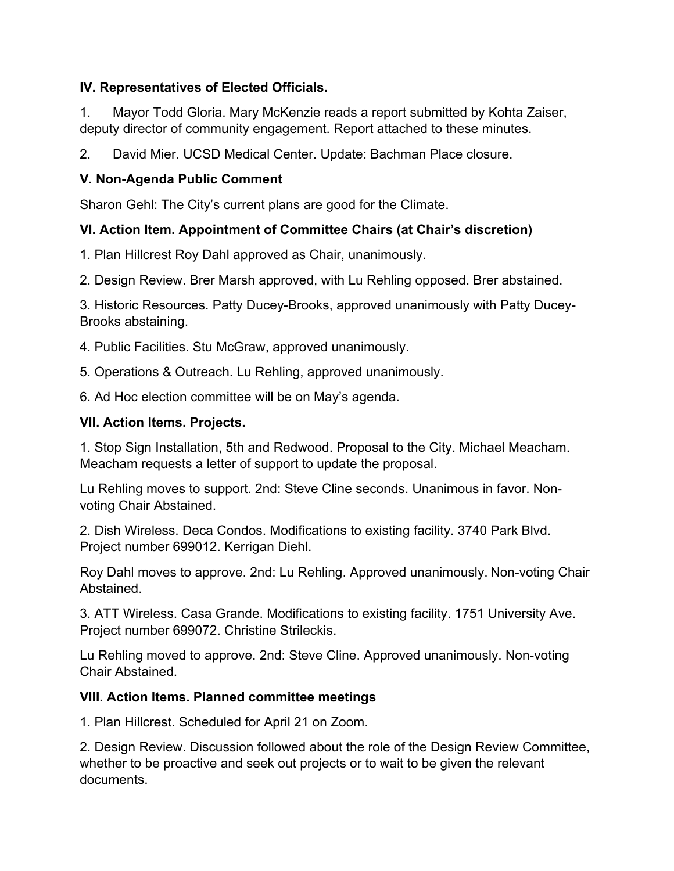### **IV. Representatives of Elected Officials.**

1. Mayor Todd Gloria. Mary McKenzie reads a report submitted by Kohta Zaiser, deputy director of community engagement. Report attached to these minutes.

2. David Mier. UCSD Medical Center. Update: Bachman Place closure.

# **V. Non-Agenda Public Comment**

Sharon Gehl: The City's current plans are good for the Climate.

# **VI. Action Item. Appointment of Committee Chairs (at Chair's discretion)**

1. Plan Hillcrest Roy Dahl approved as Chair, unanimously.

2. Design Review. Brer Marsh approved, with Lu Rehling opposed. Brer abstained.

3. Historic Resources. Patty Ducey-Brooks, approved unanimously with Patty Ducey-Brooks abstaining.

4. Public Facilities. Stu McGraw, approved unanimously.

5. Operations & Outreach. Lu Rehling, approved unanimously.

6. Ad Hoc election committee will be on May's agenda.

### **VII. Action Items. Projects.**

1. Stop Sign Installation, 5th and Redwood. Proposal to the City. Michael Meacham. Meacham requests a letter of support to update the proposal.

Lu Rehling moves to support. 2nd: Steve Cline seconds. Unanimous in favor. Nonvoting Chair Abstained.

2. Dish Wireless. Deca Condos. Modifications to existing facility. 3740 Park Blvd. Project number 699012. Kerrigan Diehl.

Roy Dahl moves to approve. 2nd: Lu Rehling. Approved unanimously. Non-voting Chair Abstained.

3. ATT Wireless. Casa Grande. Modifications to existing facility. 1751 University Ave. Project number 699072. Christine Strileckis.

Lu Rehling moved to approve. 2nd: Steve Cline. Approved unanimously. Non-voting Chair Abstained.

# **VIII. Action Items. Planned committee meetings**

1. Plan Hillcrest. Scheduled for April 21 on Zoom.

2. Design Review. Discussion followed about the role of the Design Review Committee, whether to be proactive and seek out projects or to wait to be given the relevant documents.